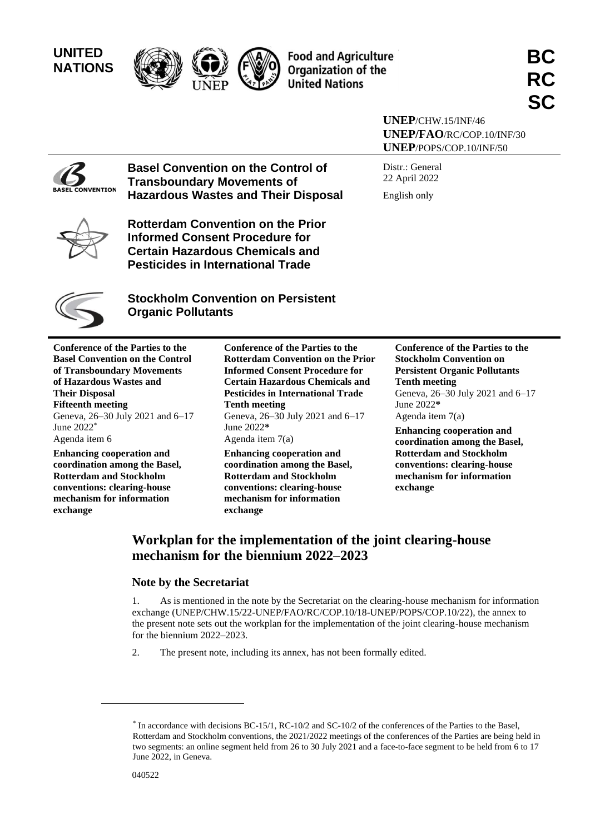# **UNITED**





**NATIONS BC United Nations** 

**UNEP**/CHW.15/INF/46 **UNEP/FAO**/RC/COP.10/INF/30 **UNEP**/POPS/COP.10/INF/50

Distr.: General 22 April 2022 English only

**NVENTION** 

**Basel Convention on the Control of Transboundary Movements of Hazardous Wastes and Their Disposal**

**Rotterdam Convention on the Prior Informed Consent Procedure for Certain Hazardous Chemicals and Pesticides in International Trade**



**Stockholm Convention on Persistent Organic Pollutants**

**Conference of the Parties to the Basel Convention on the Control of Transboundary Movements of Hazardous Wastes and Their Disposal Fifteenth meeting** Geneva, 26–30 July 2021 and 6–17 June 2022\* Agenda item 6

**Enhancing cooperation and coordination among the Basel, Rotterdam and Stockholm conventions: clearing-house mechanism for information exchange**

**Conference of the Parties to the Rotterdam Convention on the Prior Informed Consent Procedure for Certain Hazardous Chemicals and Pesticides in International Trade Tenth meeting** Geneva, 26–30 July 2021 and 6–17 June 2022**\*** Agenda item 7(a)

**Enhancing cooperation and coordination among the Basel, Rotterdam and Stockholm conventions: clearing-house mechanism for information exchange**

**Conference of the Parties to the Stockholm Convention on Persistent Organic Pollutants Tenth meeting** Geneva, 26–30 July 2021 and 6–17 June 2022**\*** Agenda item 7(a)

**Enhancing cooperation and coordination among the Basel, Rotterdam and Stockholm conventions: clearing-house mechanism for information exchange**

# **Workplan for the implementation of the joint clearing-house mechanism for the biennium 2022–2023**

## **Note by the Secretariat**

1. As is mentioned in the note by the Secretariat on the clearing-house mechanism for information exchange (UNEP/CHW.15/22-UNEP/FAO/RC/COP.10/18-UNEP/POPS/COP.10/22), the annex to the present note sets out the workplan for the implementation of the joint clearing-house mechanism for the biennium 2022–2023.

2. The present note, including its annex, has not been formally edited.

<sup>\*</sup> In accordance with decisions BC-15/1, RC-10/2 and SC-10/2 of the conferences of the Parties to the Basel, Rotterdam and Stockholm conventions, the 2021/2022 meetings of the conferences of the Parties are being held in two segments: an online segment held from 26 to 30 July 2021 and a face-to-face segment to be held from 6 to 17 June 2022, in Geneva.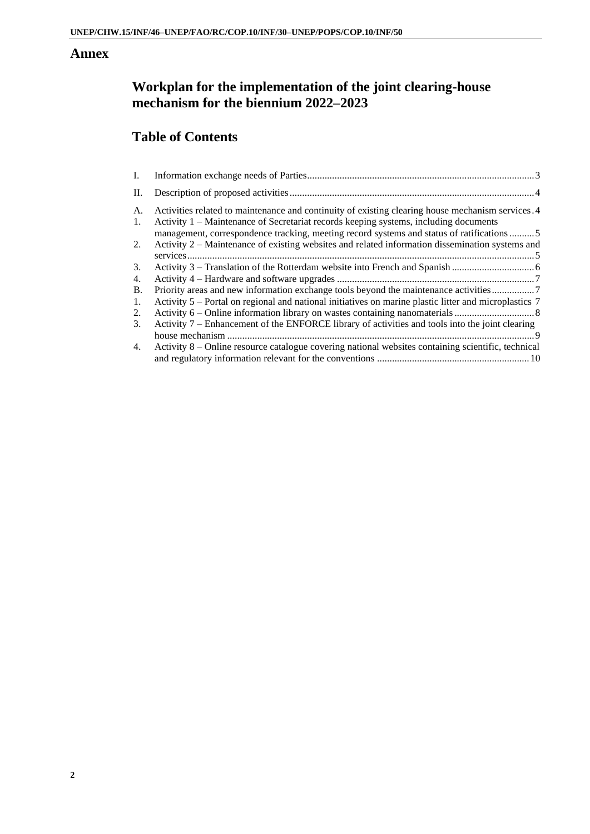## **Annex**

# **Workplan for the implementation of the joint clearing-house mechanism for the biennium 2022–2023**

# **Table of Contents**

| I.       |                                                                                                                                                                                                                                                                                        |
|----------|----------------------------------------------------------------------------------------------------------------------------------------------------------------------------------------------------------------------------------------------------------------------------------------|
| П.       |                                                                                                                                                                                                                                                                                        |
| А.<br>1. | Activities related to maintenance and continuity of existing clearing house mechanism services. 4<br>Activity 1 – Maintenance of Secretariat records keeping systems, including documents<br>management, correspondence tracking, meeting record systems and status of ratifications 5 |
| 2.       | Activity 2 – Maintenance of existing websites and related information dissemination systems and                                                                                                                                                                                        |
| 3.       |                                                                                                                                                                                                                                                                                        |
| 4.       |                                                                                                                                                                                                                                                                                        |
| В.       | Priority areas and new information exchange tools beyond the maintenance activities7                                                                                                                                                                                                   |
| 1.       | Activity 5 – Portal on regional and national initiatives on marine plastic litter and microplastics 7                                                                                                                                                                                  |
| 2.       |                                                                                                                                                                                                                                                                                        |
| 3.       | Activity 7 – Enhancement of the ENFORCE library of activities and tools into the joint clearing                                                                                                                                                                                        |
|          |                                                                                                                                                                                                                                                                                        |
| 4.       | Activity 8 – Online resource catalogue covering national websites containing scientific, technical                                                                                                                                                                                     |
|          |                                                                                                                                                                                                                                                                                        |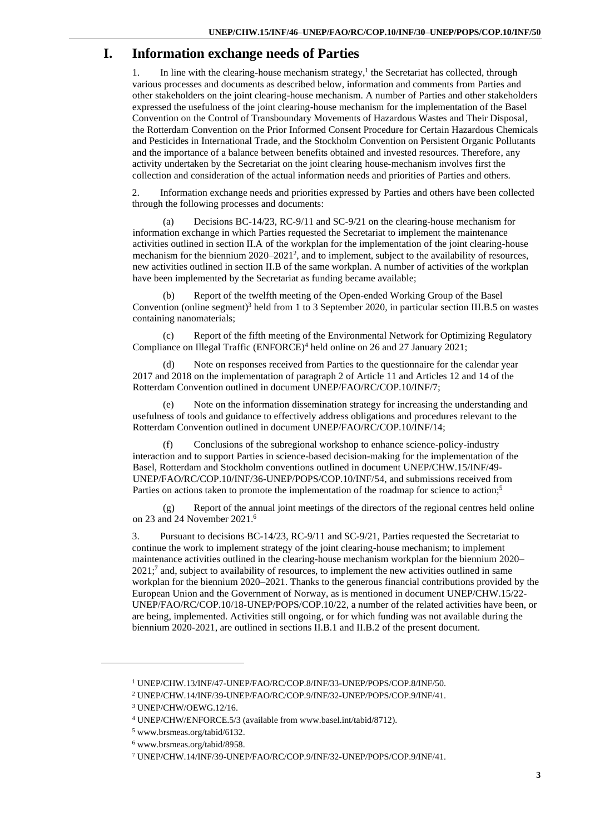# <span id="page-2-0"></span>**I. Information exchange needs of Parties**

1. In line with the clearing-house mechanism strategy,<sup>1</sup> the Secretariat has collected, through various processes and documents as described below, information and comments from Parties and other stakeholders on the joint clearing-house mechanism. A number of Parties and other stakeholders expressed the usefulness of the joint clearing-house mechanism for the implementation of the Basel Convention on the Control of Transboundary Movements of Hazardous Wastes and Their Disposal, the Rotterdam Convention on the Prior Informed Consent Procedure for Certain Hazardous Chemicals and Pesticides in International Trade, and the Stockholm Convention on Persistent Organic Pollutants and the importance of a balance between benefits obtained and invested resources. Therefore, any activity undertaken by the Secretariat on the joint clearing house-mechanism involves first the collection and consideration of the actual information needs and priorities of Parties and others.

2. Information exchange needs and priorities expressed by Parties and others have been collected through the following processes and documents:

(a) Decisions BC-14/23, RC-9/11 and SC-9/21 on the clearing-house mechanism for information exchange in which Parties requested the Secretariat to implement the maintenance activities outlined in section II.A of the workplan for the implementation of the joint clearing-house mechanism for the biennium 2020–2021<sup>2</sup>, and to implement, subject to the availability of resources, new activities outlined in section II.B of the same workplan. A number of activities of the workplan have been implemented by the Secretariat as funding became available;

(b) Report of the twelfth meeting of the Open-ended Working Group of the Basel Convention (online segment)<sup>3</sup> held from 1 to 3 September 2020, in particular section III.B.5 on wastes containing nanomaterials;

Report of the fifth meeting of the Environmental Network for Optimizing Regulatory Compliance on Illegal Traffic (ENFORCE)<sup>4</sup> held online on 26 and 27 January 2021;

(d) Note on responses received from Parties to the questionnaire for the calendar year 2017 and 2018 on the implementation of paragraph 2 of Article 11 and Articles 12 and 14 of the Rotterdam Convention outlined in document UNEP/FAO/RC/COP.10/INF/7;

(e) Note on the information dissemination strategy for increasing the understanding and usefulness of tools and guidance to effectively address obligations and procedures relevant to the Rotterdam Convention outlined in document UNEP/FAO/RC/COP.10/INF/14;

(f) Conclusions of the subregional workshop to enhance science-policy-industry interaction and to support Parties in science-based decision-making for the implementation of the Basel, Rotterdam and Stockholm conventions outlined in document UNEP/CHW.15/INF/49- UNEP/FAO/RC/COP.10/INF/36-UNEP/POPS/COP.10/INF/54, and submissions received from Parties on actions taken to promote the implementation of the roadmap for science to action;<sup>5</sup>

Report of the annual joint meetings of the directors of the regional centres held online on 23 and 24 November 2021. 6

3. Pursuant to decisions BC-14/23, RC-9/11 and SC-9/21, Parties requested the Secretariat to continue the work to implement strategy of the joint clearing-house mechanism; to implement maintenance activities outlined in the clearing-house mechanism workplan for the biennium 2020–  $2021$ ;<sup>7</sup> and, subject to availability of resources, to implement the new activities outlined in same workplan for the biennium 2020–2021. Thanks to the generous financial contributions provided by the European Union and the Government of Norway, as is mentioned in document UNEP/CHW.15/22- UNEP/FAO/RC/COP.10/18-UNEP/POPS/COP.10/22, a number of the related activities have been, or are being, implemented. Activities still ongoing, or for which funding was not available during the biennium 2020-2021, are outlined in sections II.B.1 and II.B.2 of the present document.

<sup>1</sup> UNEP/CHW.13/INF/47-UNEP/FAO/RC/COP.8/INF/33-UNEP/POPS/COP.8/INF/50.

<sup>2</sup> UNEP/CHW.14/INF/39-UNEP/FAO/RC/COP.9/INF/32-UNEP/POPS/COP.9/INF/41.

<sup>3</sup> UNEP/CHW/OEWG.12/16.

<sup>4</sup> UNEP/CHW/ENFORCE.5/3 (available from www.basel.int/tabid/8712).

<sup>5</sup> www.brsmeas.org/tabid/6132.

<sup>6</sup> www.brsmeas.org/tabid/8958.

<sup>7</sup> UNEP/CHW.14/INF/39-UNEP/FAO/RC/COP.9/INF/32-UNEP/POPS/COP.9/INF/41.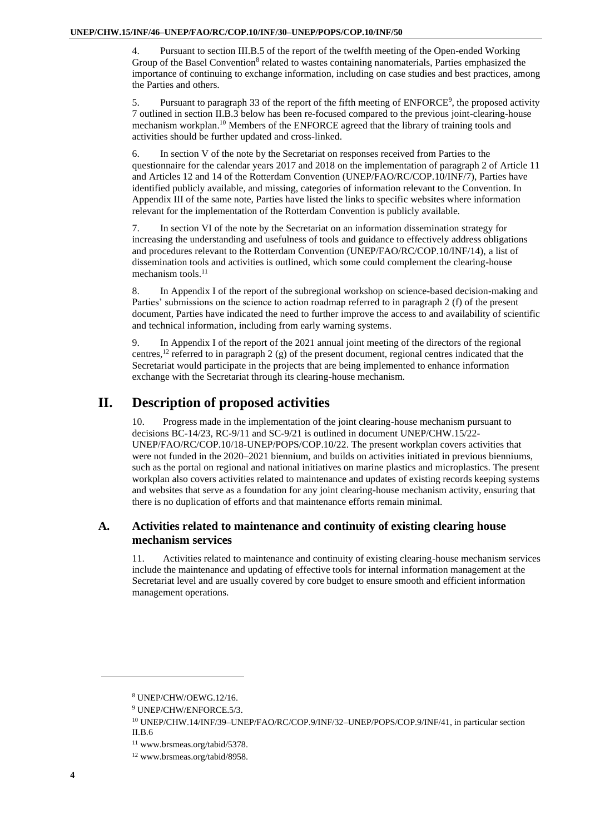4. Pursuant to section III.B.5 of the report of the twelfth meeting of the Open-ended Working Group of the Basel Convention<sup>8</sup> related to wastes containing nanomaterials, Parties emphasized the importance of continuing to exchange information, including on case studies and best practices, among the Parties and others.

5. Pursuant to paragraph 33 of the report of the fifth meeting of ENFORCE<sup>9</sup>, the proposed activity 7 outlined in section II.B.3 below has been re-focused compared to the previous joint-clearing-house mechanism workplan. <sup>10</sup> Members of the ENFORCE agreed that the library of training tools and activities should be further updated and cross-linked.

6. In section V of the note by the Secretariat on responses received from Parties to the questionnaire for the calendar years 2017 and 2018 on the implementation of paragraph 2 of Article 11 and Articles 12 and 14 of the Rotterdam Convention (UNEP/FAO/RC/COP.10/INF/7), Parties have identified publicly available, and missing, categories of information relevant to the Convention. In Appendix III of the same note, Parties have listed the links to specific websites where information relevant for the implementation of the Rotterdam Convention is publicly available.

7. In section VI of the note by the Secretariat on an information dissemination strategy for increasing the understanding and usefulness of tools and guidance to effectively address obligations and procedures relevant to the Rotterdam Convention (UNEP/FAO/RC/COP.10/INF/14), a list of dissemination tools and activities is outlined, which some could complement the clearing-house mechanism tools. $^{11}$ 

8. In Appendix I of the report of the subregional workshop on science-based decision-making and Parties' submissions on the science to action roadmap referred to in paragraph 2 (f) of the present document, Parties have indicated the need to further improve the access to and availability of scientific and technical information, including from early warning systems.

9. In Appendix I of the report of the 2021 annual joint meeting of the directors of the regional centres,<sup>12</sup> referred to in paragraph 2 (g) of the present document, regional centres indicated that the Secretariat would participate in the projects that are being implemented to enhance information exchange with the Secretariat through its clearing-house mechanism.

# <span id="page-3-0"></span>**II. Description of proposed activities**

10. Progress made in the implementation of the joint clearing-house mechanism pursuant to decisions BC-14/23, RC-9/11 and SC-9/21 is outlined in document UNEP/CHW.15/22- UNEP/FAO/RC/COP.10/18-UNEP/POPS/COP.10/22. The present workplan covers activities that were not funded in the 2020–2021 biennium, and builds on activities initiated in previous bienniums, such as the portal on regional and national initiatives on marine plastics and microplastics. The present workplan also covers activities related to maintenance and updates of existing records keeping systems and websites that serve as a foundation for any joint clearing-house mechanism activity, ensuring that there is no duplication of efforts and that maintenance efforts remain minimal.

## <span id="page-3-1"></span>**A. Activities related to maintenance and continuity of existing clearing house mechanism services**

11. Activities related to maintenance and continuity of existing clearing-house mechanism services include the maintenance and updating of effective tools for internal information management at the Secretariat level and are usually covered by core budget to ensure smooth and efficient information management operations.

<sup>8</sup> UNEP/CHW/OEWG.12/16.

<sup>9</sup> UNEP/CHW/ENFORCE.5/3.

<sup>10</sup> UNEP/CHW.14/INF/39–UNEP/FAO/RC/COP.9/INF/32–UNEP/POPS/COP.9/INF/41, in particular section II.B.6

<sup>11</sup> www.brsmeas.org/tabid/5378.

<sup>12</sup> www.brsmeas.org/tabid/8958.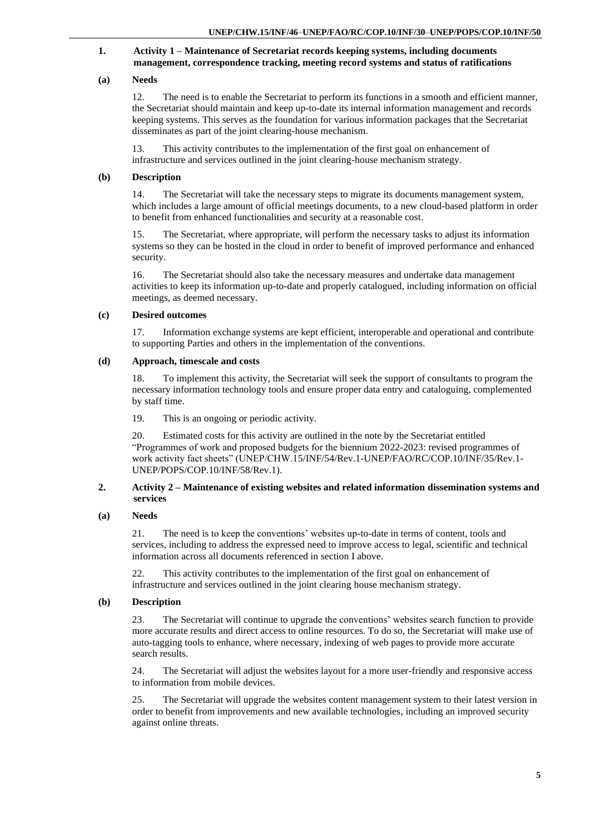#### <span id="page-4-0"></span>**1. Activity 1 – Maintenance of Secretariat records keeping systems, including documents management, correspondence tracking, meeting record systems and status of ratifications**

#### **(a) Needs**

12. The need is to enable the Secretariat to perform its functions in a smooth and efficient manner, the Secretariat should maintain and keep up-to-date its internal information management and records keeping systems. This serves as the foundation for various information packages that the Secretariat disseminates as part of the joint clearing-house mechanism.

13. This activity contributes to the implementation of the first goal on enhancement of infrastructure and services outlined in the joint clearing-house mechanism strategy.

#### **(b) Description**

14. The Secretariat will take the necessary steps to migrate its documents management system, which includes a large amount of official meetings documents, to a new cloud-based platform in order to benefit from enhanced functionalities and security at a reasonable cost.

15. The Secretariat, where appropriate, will perform the necessary tasks to adjust its information systems so they can be hosted in the cloud in order to benefit of improved performance and enhanced security.

16. The Secretariat should also take the necessary measures and undertake data management activities to keep its information up-to-date and properly catalogued, including information on official meetings, as deemed necessary.

#### **(c) Desired outcomes**

17. Information exchange systems are kept efficient, interoperable and operational and contribute to supporting Parties and others in the implementation of the conventions.

#### **(d) Approach, timescale and costs**

18. To implement this activity, the Secretariat will seek the support of consultants to program the necessary information technology tools and ensure proper data entry and cataloguing, complemented by staff time.

19. This is an ongoing or periodic activity.

20. Estimated costs for this activity are outlined in the note by the Secretariat entitled "Programmes of work and proposed budgets for the biennium 2022-2023: revised programmes of work activity fact sheets" (UNEP/CHW.15/INF/54/Rev.1-UNEP/FAO/RC/COP.10/INF/35/Rev.1- UNEP/POPS/COP.10/INF/58/Rev.1).

#### <span id="page-4-1"></span>**2. Activity 2 – Maintenance of existing websites and related information dissemination systems and services**

#### **(a) Needs**

21. The need is to keep the conventions' websites up-to-date in terms of content, tools and services, including to address the expressed need to improve access to legal, scientific and technical information across all documents referenced in section I above.

22. This activity contributes to the implementation of the first goal on enhancement of infrastructure and services outlined in the joint clearing house mechanism strategy.

#### **(b) Description**

23. The Secretariat will continue to upgrade the conventions' websites search function to provide more accurate results and direct access to online resources. To do so, the Secretariat will make use of auto-tagging tools to enhance, where necessary, indexing of web pages to provide more accurate search results.

24. The Secretariat will adjust the websites layout for a more user-friendly and responsive access to information from mobile devices.

25. The Secretariat will upgrade the websites content management system to their latest version in order to benefit from improvements and new available technologies, including an improved security against online threats.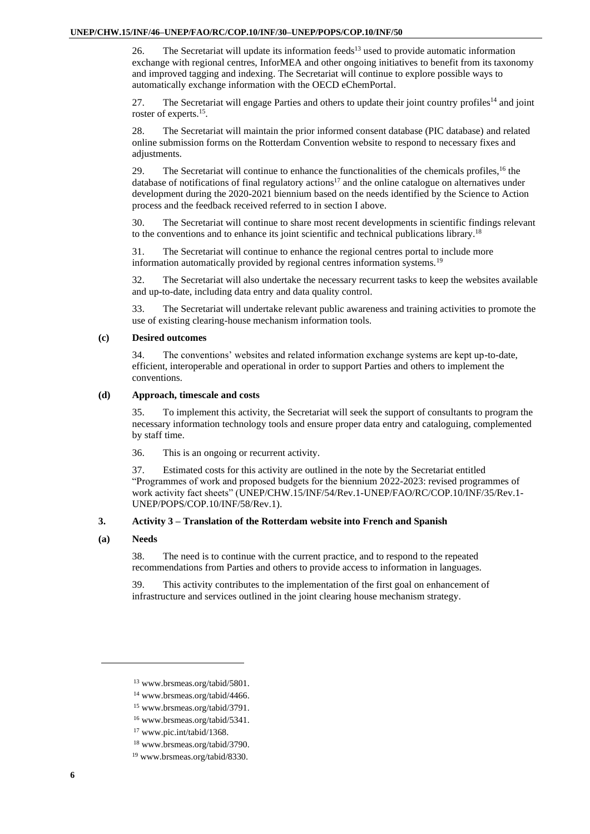26. The Secretariat will update its information feeds<sup>13</sup> used to provide automatic information exchange with regional centres, InforMEA and other ongoing initiatives to benefit from its taxonomy and improved tagging and indexing. The Secretariat will continue to explore possible ways to automatically exchange information with the OECD eChemPortal.

27. The Secretariat will engage Parties and others to update their joint country profiles<sup>14</sup> and joint roster of experts.<sup>15</sup>.

28. The Secretariat will maintain the prior informed consent database (PIC database) and related online submission forms on the Rotterdam Convention website to respond to necessary fixes and adjustments.

29. The Secretariat will continue to enhance the functionalities of the chemicals profiles,<sup>16</sup> the database of notifications of final regulatory actions<sup>17</sup> and the online catalogue on alternatives under development during the 2020-2021 biennium based on the needs identified by the Science to Action process and the feedback received referred to in section I above.

30. The Secretariat will continue to share most recent developments in scientific findings relevant to the conventions and to enhance its joint scientific and technical publications library.<sup>18</sup>

31. The Secretariat will continue to enhance the regional centres portal to include more information automatically provided by regional centres information systems.<sup>19</sup>

32. The Secretariat will also undertake the necessary recurrent tasks to keep the websites available and up-to-date, including data entry and data quality control.

33. The Secretariat will undertake relevant public awareness and training activities to promote the use of existing clearing-house mechanism information tools.

#### **(c) Desired outcomes**

34. The conventions' websites and related information exchange systems are kept up-to-date, efficient, interoperable and operational in order to support Parties and others to implement the conventions.

#### **(d) Approach, timescale and costs**

35. To implement this activity, the Secretariat will seek the support of consultants to program the necessary information technology tools and ensure proper data entry and cataloguing, complemented by staff time.

36. This is an ongoing or recurrent activity.

37. Estimated costs for this activity are outlined in the note by the Secretariat entitled "Programmes of work and proposed budgets for the biennium 2022-2023: revised programmes of work activity fact sheets" (UNEP/CHW.15/INF/54/Rev.1-UNEP/FAO/RC/COP.10/INF/35/Rev.1- UNEP/POPS/COP.10/INF/58/Rev.1).

#### <span id="page-5-0"></span>**3. Activity 3 – Translation of the Rotterdam website into French and Spanish**

#### **(a) Needs**

38. The need is to continue with the current practice, and to respond to the repeated recommendations from Parties and others to provide access to information in languages.

39. This activity contributes to the implementation of the first goal on enhancement of infrastructure and services outlined in the joint clearing house mechanism strategy.

- <sup>14</sup> www.brsmeas.org/tabid/4466.
- <sup>15</sup> www.brsmeas.org/tabid/3791.
- <sup>16</sup> www.brsmeas.org/tabid/5341.
- <sup>17</sup> www.pic.int/tabid/1368.
- <sup>18</sup> www.brsmeas.org/tabid/3790.
- <sup>19</sup> www.brsmeas.org/tabid/8330.

<sup>13</sup> www.brsmeas.org/tabid/5801.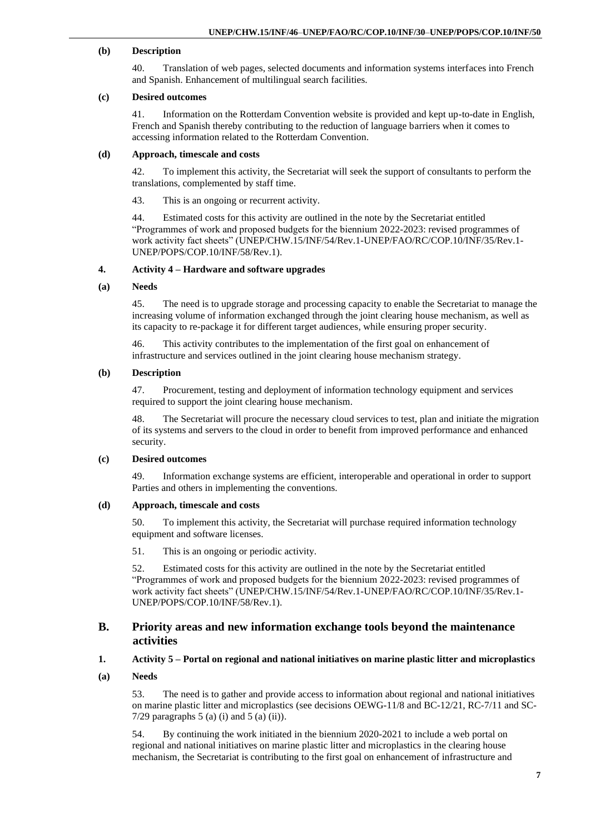#### **(b) Description**

40. Translation of web pages, selected documents and information systems interfaces into French and Spanish. Enhancement of multilingual search facilities.

#### **(c) Desired outcomes**

41. Information on the Rotterdam Convention website is provided and kept up-to-date in English, French and Spanish thereby contributing to the reduction of language barriers when it comes to accessing information related to the Rotterdam Convention.

#### **(d) Approach, timescale and costs**

42. To implement this activity, the Secretariat will seek the support of consultants to perform the translations, complemented by staff time.

43. This is an ongoing or recurrent activity.

44. Estimated costs for this activity are outlined in the note by the Secretariat entitled "Programmes of work and proposed budgets for the biennium 2022-2023: revised programmes of work activity fact sheets" (UNEP/CHW.15/INF/54/Rev.1-UNEP/FAO/RC/COP.10/INF/35/Rev.1- UNEP/POPS/COP.10/INF/58/Rev.1).

#### <span id="page-6-0"></span>**4. Activity 4 – Hardware and software upgrades**

#### **(a) Needs**

45. The need is to upgrade storage and processing capacity to enable the Secretariat to manage the increasing volume of information exchanged through the joint clearing house mechanism, as well as its capacity to re-package it for different target audiences, while ensuring proper security.

46. This activity contributes to the implementation of the first goal on enhancement of infrastructure and services outlined in the joint clearing house mechanism strategy.

#### **(b) Description**

47. Procurement, testing and deployment of information technology equipment and services required to support the joint clearing house mechanism.

48. The Secretariat will procure the necessary cloud services to test, plan and initiate the migration of its systems and servers to the cloud in order to benefit from improved performance and enhanced security.

#### **(c) Desired outcomes**

49. Information exchange systems are efficient, interoperable and operational in order to support Parties and others in implementing the conventions.

#### **(d) Approach, timescale and costs**

50. To implement this activity, the Secretariat will purchase required information technology equipment and software licenses.

51. This is an ongoing or periodic activity.

52. Estimated costs for this activity are outlined in the note by the Secretariat entitled "Programmes of work and proposed budgets for the biennium 2022-2023: revised programmes of work activity fact sheets" (UNEP/CHW.15/INF/54/Rev.1-UNEP/FAO/RC/COP.10/INF/35/Rev.1- UNEP/POPS/COP.10/INF/58/Rev.1).

#### <span id="page-6-1"></span>**B. Priority areas and new information exchange tools beyond the maintenance activities**

#### <span id="page-6-2"></span>**1. Activity 5 – Portal on regional and national initiatives on marine plastic litter and microplastics**

**(a) Needs**

53. The need is to gather and provide access to information about regional and national initiatives on marine plastic litter and microplastics (see decisions OEWG-11/8 and BC-12/21, RC-7/11 and SC-7/29 paragraphs  $5$  (a) (i) and  $5$  (a) (ii)).

54. By continuing the work initiated in the biennium 2020-2021 to include a web portal on regional and national initiatives on marine plastic litter and microplastics in the clearing house mechanism, the Secretariat is contributing to the first goal on enhancement of infrastructure and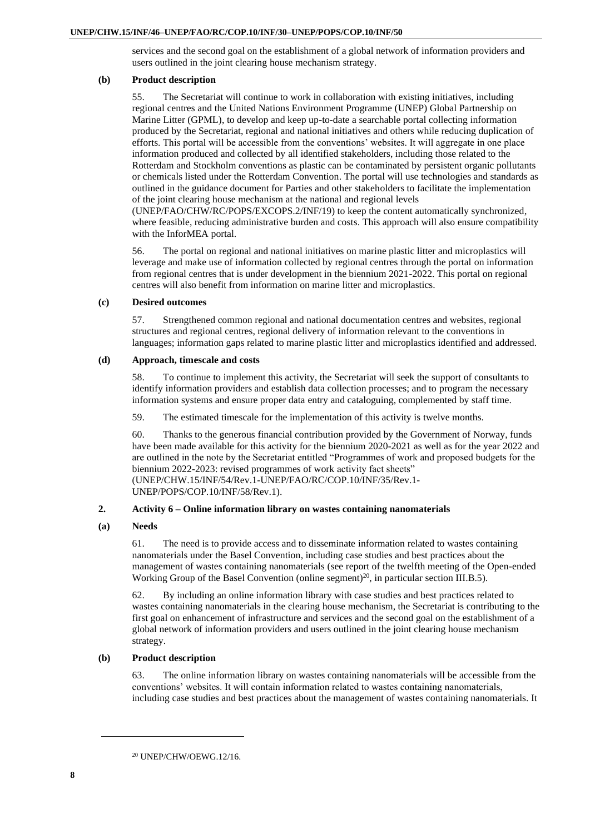services and the second goal on the establishment of a global network of information providers and users outlined in the joint clearing house mechanism strategy.

#### **(b) Product description**

55. The Secretariat will continue to work in collaboration with existing initiatives, including regional centres and the United Nations Environment Programme (UNEP) Global Partnership on Marine Litter (GPML), to develop and keep up-to-date a searchable portal collecting information produced by the Secretariat, regional and national initiatives and others while reducing duplication of efforts. This portal will be accessible from the conventions' websites. It will aggregate in one place information produced and collected by all identified stakeholders, including those related to the Rotterdam and Stockholm conventions as plastic can be contaminated by persistent organic pollutants or chemicals listed under the Rotterdam Convention. The portal will use technologies and standards as outlined in the guidance document for Parties and other stakeholders to facilitate the implementation of the joint clearing house mechanism at the national and regional levels

(UNEP/FAO/CHW/RC/POPS/EXCOPS.2/INF/19) to keep the content automatically synchronized, where feasible, reducing administrative burden and costs. This approach will also ensure compatibility with the InforMEA portal.

56. The portal on regional and national initiatives on marine plastic litter and microplastics will leverage and make use of information collected by regional centres through the portal on information from regional centres that is under development in the biennium 2021-2022. This portal on regional centres will also benefit from information on marine litter and microplastics.

#### **(c) Desired outcomes**

57. Strengthened common regional and national documentation centres and websites, regional structures and regional centres, regional delivery of information relevant to the conventions in languages; information gaps related to marine plastic litter and microplastics identified and addressed.

#### **(d) Approach, timescale and costs**

58. To continue to implement this activity, the Secretariat will seek the support of consultants to identify information providers and establish data collection processes; and to program the necessary information systems and ensure proper data entry and cataloguing, complemented by staff time.

59. The estimated timescale for the implementation of this activity is twelve months.

60. Thanks to the generous financial contribution provided by the Government of Norway, funds have been made available for this activity for the biennium 2020-2021 as well as for the year 2022 and are outlined in the note by the Secretariat entitled "Programmes of work and proposed budgets for the biennium 2022-2023: revised programmes of work activity fact sheets" (UNEP/CHW.15/INF/54/Rev.1-UNEP/FAO/RC/COP.10/INF/35/Rev.1-

UNEP/POPS/COP.10/INF/58/Rev.1).

#### <span id="page-7-0"></span>**2. Activity 6 – Online information library on wastes containing nanomaterials**

#### **(a) Needs**

61. The need is to provide access and to disseminate information related to wastes containing nanomaterials under the Basel Convention, including case studies and best practices about the management of wastes containing nanomaterials (see report of the twelfth meeting of the Open-ended Working Group of the Basel Convention (online segment)<sup>20</sup>, in particular section III.B.5).

62. By including an online information library with case studies and best practices related to wastes containing nanomaterials in the clearing house mechanism, the Secretariat is contributing to the first goal on enhancement of infrastructure and services and the second goal on the establishment of a global network of information providers and users outlined in the joint clearing house mechanism strategy.

#### **(b) Product description**

63. The online information library on wastes containing nanomaterials will be accessible from the conventions' websites. It will contain information related to wastes containing nanomaterials, including case studies and best practices about the management of wastes containing nanomaterials. It

<sup>20</sup> UNEP/CHW/OEWG.12/16.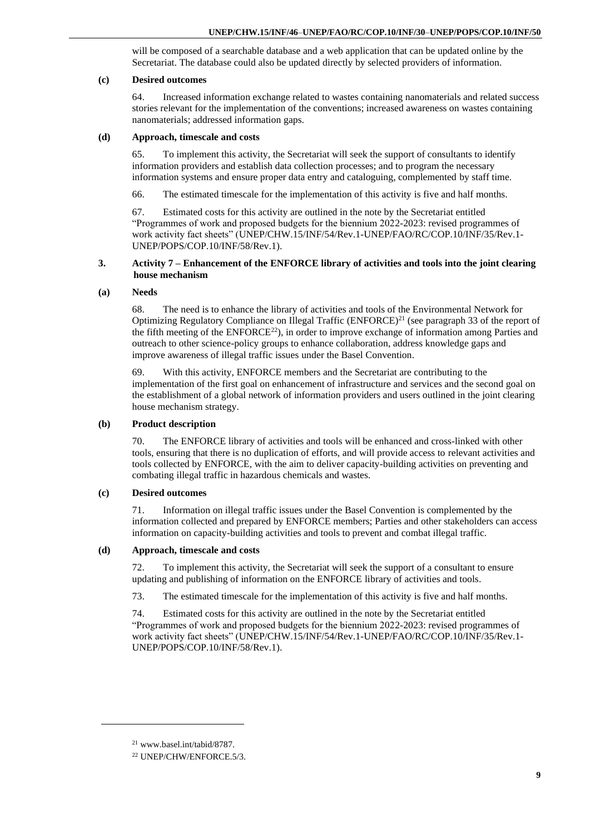will be composed of a searchable database and a web application that can be updated online by the Secretariat. The database could also be updated directly by selected providers of information.

#### **(c) Desired outcomes**

64. Increased information exchange related to wastes containing nanomaterials and related success stories relevant for the implementation of the conventions; increased awareness on wastes containing nanomaterials; addressed information gaps.

#### **(d) Approach, timescale and costs**

65. To implement this activity, the Secretariat will seek the support of consultants to identify information providers and establish data collection processes; and to program the necessary information systems and ensure proper data entry and cataloguing, complemented by staff time.

66. The estimated timescale for the implementation of this activity is five and half months.

67. Estimated costs for this activity are outlined in the note by the Secretariat entitled "Programmes of work and proposed budgets for the biennium 2022-2023: revised programmes of work activity fact sheets" (UNEP/CHW.15/INF/54/Rev.1-UNEP/FAO/RC/COP.10/INF/35/Rev.1- UNEP/POPS/COP.10/INF/58/Rev.1).

#### <span id="page-8-0"></span>**3. Activity 7 – Enhancement of the ENFORCE library of activities and tools into the joint clearing house mechanism**

#### **(a) Needs**

68. The need is to enhance the library of activities and tools of the Environmental Network for Optimizing Regulatory Compliance on Illegal Traffic (ENFORCE)<sup>21</sup> (see paragraph 33 of the report of the fifth meeting of the  $ENFORE<sup>22</sup>$ , in order to improve exchange of information among Parties and outreach to other science-policy groups to enhance collaboration, address knowledge gaps and improve awareness of illegal traffic issues under the Basel Convention.

69. With this activity, ENFORCE members and the Secretariat are contributing to the implementation of the first goal on enhancement of infrastructure and services and the second goal on the establishment of a global network of information providers and users outlined in the joint clearing house mechanism strategy.

#### **(b) Product description**

70. The ENFORCE library of activities and tools will be enhanced and cross-linked with other tools, ensuring that there is no duplication of efforts, and will provide access to relevant activities and tools collected by ENFORCE, with the aim to deliver capacity-building activities on preventing and combating illegal traffic in hazardous chemicals and wastes.

#### **(c) Desired outcomes**

71. Information on illegal traffic issues under the Basel Convention is complemented by the information collected and prepared by ENFORCE members; Parties and other stakeholders can access information on capacity-building activities and tools to prevent and combat illegal traffic.

#### **(d) Approach, timescale and costs**

72. To implement this activity, the Secretariat will seek the support of a consultant to ensure updating and publishing of information on the ENFORCE library of activities and tools.

73. The estimated timescale for the implementation of this activity is five and half months.

74. Estimated costs for this activity are outlined in the note by the Secretariat entitled "Programmes of work and proposed budgets for the biennium 2022-2023: revised programmes of work activity fact sheets" (UNEP/CHW.15/INF/54/Rev.1-UNEP/FAO/RC/COP.10/INF/35/Rev.1- UNEP/POPS/COP.10/INF/58/Rev.1).

<sup>21</sup> [www.basel.int/tabid/8787.](http://www.basel.int/tabid/8787)

<sup>22</sup> UNEP/CHW/ENFORCE.5/3.